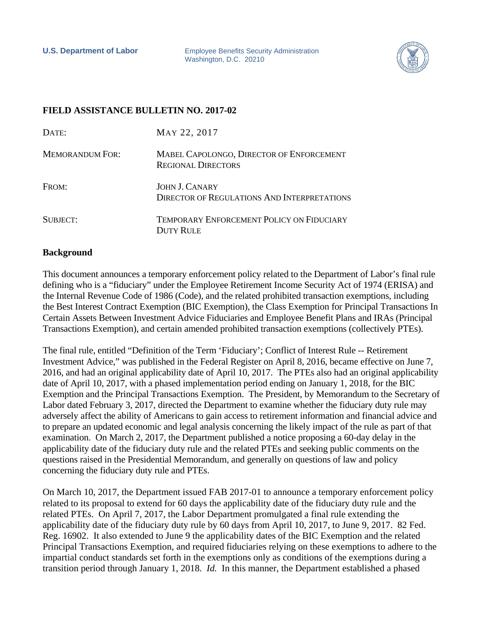**U.S. Department of Labor** Employee Benefits Security Administration Washington, D.C. 20210



## **FIELD ASSISTANCE BULLETIN NO. 2017-02**

| DATE:                  | MAY 22, 2017                                                                |
|------------------------|-----------------------------------------------------------------------------|
| <b>MEMORANDUM FOR:</b> | MABEL CAPOLONGO, DIRECTOR OF ENFORCEMENT<br><b>REGIONAL DIRECTORS</b>       |
| FROM:                  | <b>JOHN J. CANARY</b><br><b>DIRECTOR OF REGULATIONS AND INTERPRETATIONS</b> |
| SUBJECT:               | <b>TEMPORARY ENFORCEMENT POLICY ON FIDUCIARY</b><br><b>DUTY RULE</b>        |

## **Background**

This document announces a temporary enforcement policy related to the Department of Labor's final rule defining who is a "fiduciary" under the Employee Retirement Income Security Act of 1974 (ERISA) and the Internal Revenue Code of 1986 (Code), and the related prohibited transaction exemptions, including the Best Interest Contract Exemption (BIC Exemption), the Class Exemption for Principal Transactions In Certain Assets Between Investment Advice Fiduciaries and Employee Benefit Plans and IRAs (Principal Transactions Exemption), and certain amended prohibited transaction exemptions (collectively PTEs).

The final rule, entitled "Definition of the Term 'Fiduciary'; Conflict of Interest Rule -- Retirement Investment Advice," was published in the Federal Register on April 8, 2016, became effective on June 7, 2016, and had an original applicability date of April 10, 2017. The PTEs also had an original applicability date of April 10, 2017, with a phased implementation period ending on January 1, 2018, for the BIC Exemption and the Principal Transactions Exemption. The President, by Memorandum to the Secretary of Labor dated February 3, 2017, directed the Department to examine whether the fiduciary duty rule may adversely affect the ability of Americans to gain access to retirement information and financial advice and to prepare an updated economic and legal analysis concerning the likely impact of the rule as part of that examination. On March 2, 2017, the Department published a notice proposing a 60-day delay in the applicability date of the fiduciary duty rule and the related PTEs and seeking public comments on the questions raised in the Presidential Memorandum, and generally on questions of law and policy concerning the fiduciary duty rule and PTEs.

On March 10, 2017, the Department issued FAB 2017-01 to announce a temporary enforcement policy related to its proposal to extend for 60 days the applicability date of the fiduciary duty rule and the related PTEs. On April 7, 2017, the Labor Department promulgated a final rule extending the applicability date of the fiduciary duty rule by 60 days from April 10, 2017, to June 9, 2017. 82 Fed. Reg. 16902. It also extended to June 9 the applicability dates of the BIC Exemption and the related Principal Transactions Exemption, and required fiduciaries relying on these exemptions to adhere to the impartial conduct standards set forth in the exemptions only as conditions of the exemptions during a transition period through January 1, 2018. *Id.* In this manner, the Department established a phased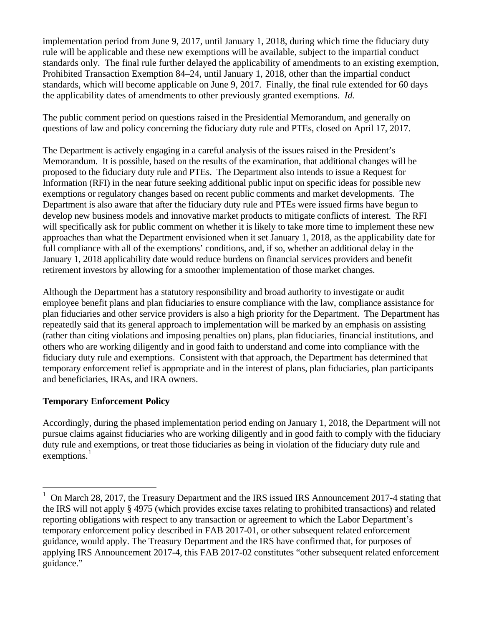implementation period from June 9, 2017, until January 1, 2018, during which time the fiduciary duty rule will be applicable and these new exemptions will be available, subject to the impartial conduct standards only. The final rule further delayed the applicability of amendments to an existing exemption, Prohibited Transaction Exemption 84–24, until January 1, 2018, other than the impartial conduct standards, which will become applicable on June 9, 2017. Finally, the final rule extended for 60 days the applicability dates of amendments to other previously granted exemptions. *Id.* 

The public comment period on questions raised in the Presidential Memorandum, and generally on questions of law and policy concerning the fiduciary duty rule and PTEs, closed on April 17, 2017.

The Department is actively engaging in a careful analysis of the issues raised in the President's Memorandum. It is possible, based on the results of the examination, that additional changes will be proposed to the fiduciary duty rule and PTEs. The Department also intends to issue a Request for Information (RFI) in the near future seeking additional public input on specific ideas for possible new exemptions or regulatory changes based on recent public comments and market developments. The Department is also aware that after the fiduciary duty rule and PTEs were issued firms have begun to develop new business models and innovative market products to mitigate conflicts of interest. The RFI will specifically ask for public comment on whether it is likely to take more time to implement these new approaches than what the Department envisioned when it set January 1, 2018, as the applicability date for full compliance with all of the exemptions' conditions, and, if so, whether an additional delay in the January 1, 2018 applicability date would reduce burdens on financial services providers and benefit retirement investors by allowing for a smoother implementation of those market changes.

Although the Department has a statutory responsibility and broad authority to investigate or audit employee benefit plans and plan fiduciaries to ensure compliance with the law, compliance assistance for plan fiduciaries and other service providers is also a high priority for the Department. The Department has repeatedly said that its general approach to implementation will be marked by an emphasis on assisting (rather than citing violations and imposing penalties on) plans, plan fiduciaries, financial institutions, and others who are working diligently and in good faith to understand and come into compliance with the fiduciary duty rule and exemptions. Consistent with that approach, the Department has determined that temporary enforcement relief is appropriate and in the interest of plans, plan fiduciaries, plan participants and beneficiaries, IRAs, and IRA owners.

## **Temporary Enforcement Policy**

Accordingly, during the phased implementation period ending on January 1, 2018, the Department will not pursue claims against fiduciaries who are working diligently and in good faith to comply with the fiduciary duty rule and exemptions, or treat those fiduciaries as being in violation of the fiduciary duty rule and exemptions.<sup>[1](#page-1-0)</sup>

<span id="page-1-0"></span><sup>&</sup>lt;sup>1</sup> On March 28, 2017, the Treasury Department and the IRS issued IRS Announcement 2017-4 stating that the IRS will not apply § 4975 (which provides excise taxes relating to prohibited transactions) and related reporting obligations with respect to any transaction or agreement to which the Labor Department's temporary enforcement policy described in FAB 2017-01, or other subsequent related enforcement guidance, would apply. The Treasury Department and the IRS have confirmed that, for purposes of applying IRS Announcement 2017-4, this FAB 2017-02 constitutes "other subsequent related enforcement guidance."